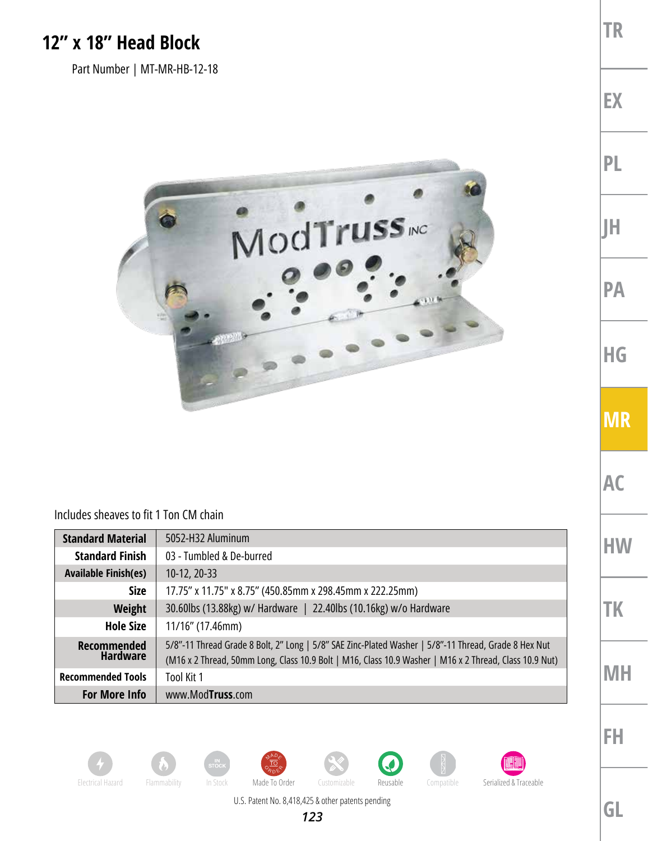## **12" x 18" Head Block**

Part Number | MT-MR-HB-12-18



## Includes sheaves to fit 1 Ton CM chain

| <b>Standard Material</b>       | 5052-H32 Aluminum                                                                                                                                                                                              |
|--------------------------------|----------------------------------------------------------------------------------------------------------------------------------------------------------------------------------------------------------------|
| <b>Standard Finish</b>         | 03 - Tumbled & De-burred                                                                                                                                                                                       |
| <b>Available Finish(es)</b>    | $10-12, 20-33$                                                                                                                                                                                                 |
| <b>Size</b>                    | 17.75" x 11.75" x 8.75" (450.85mm x 298.45mm x 222.25mm)                                                                                                                                                       |
| Weight                         | 30.60lbs (13.88kg) w/ Hardware   22.40lbs (10.16kg) w/o Hardware                                                                                                                                               |
| <b>Hole Size</b>               | $11/16$ " (17.46mm)                                                                                                                                                                                            |
| Recommended<br><b>Hardware</b> | 5/8"-11 Thread Grade 8 Bolt, 2" Long   5/8" SAE Zinc-Plated Washer   5/8"-11 Thread, Grade 8 Hex Nut<br>(M16 x 2 Thread, 50mm Long, Class 10.9 Bolt   M16, Class 10.9 Washer   M16 x 2 Thread, Class 10.9 Nut) |
| <b>Recommended Tools</b>       | Tool Kit 1                                                                                                                                                                                                     |
| <b>For More Info</b>           | www.ModTruss.com                                                                                                                                                                                               |



















Electrical Hazard Flammability In Stock Made To Order Customizable Reusable Compatible Serialized & Traceable

U.S. Patent No. 8,418,425 & other patents pending

*123*



**MR**

**TR**

**EX**

**PL**

**JH**

**PA**

**HG**

**AC**

**HW**

**TK**

**FH**

**MH**